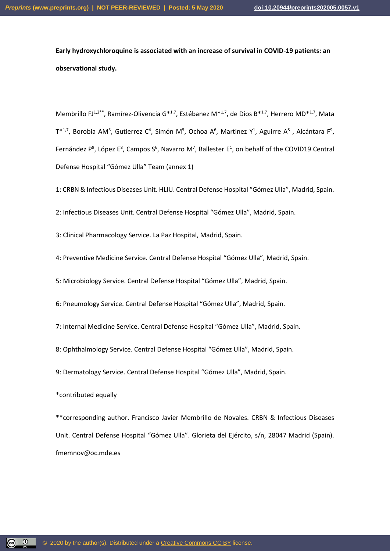**Early hydroxychloroquine is associated with an increase of survival in COVID-19 patients: an observational study.**

Membrillo FJ<sup>1,2\*\*</sup>, Ramírez-Olivencia G<sup>\*1,7</sup>, Estébanez M<sup>\*1,7</sup>, de Dios B<sup>\*1,7</sup>, Herrero MD<sup>\*1,7</sup>, Mata  $T^{*1,7}$ , Borobia AM<sup>3</sup>, Gutierrez C<sup>4</sup>, Simón M<sup>5</sup>, Ochoa A<sup>6</sup>, Martinez Y<sup>1</sup>, Aguirre A<sup>8</sup>, Alcántara F<sup>9</sup>, Fernández  $P^9$ , López E<sup>8</sup>, Campos S<sup>6</sup>, Navarro M<sup>7</sup>, Ballester E<sup>1</sup>, on behalf of the COVID19 Central Defense Hospital "Gómez Ulla" Team (annex 1)

1: CRBN & Infectious Diseases Unit. HLIU. Central Defense Hospital "Gómez Ulla", Madrid, Spain.

2: Infectious Diseases Unit. Central Defense Hospital "Gómez Ulla", Madrid, Spain.

3: Clinical Pharmacology Service. La Paz Hospital, Madrid, Spain.

4: Preventive Medicine Service. Central Defense Hospital "Gómez Ulla", Madrid, Spain.

5: Microbiology Service. Central Defense Hospital "Gómez Ulla", Madrid, Spain.

6: Pneumology Service. Central Defense Hospital "Gómez Ulla", Madrid, Spain.

7: Internal Medicine Service. Central Defense Hospital "Gómez Ulla", Madrid, Spain.

8: Ophthalmology Service. Central Defense Hospital "Gómez Ulla", Madrid, Spain.

9: Dermatology Service. Central Defense Hospital "Gómez Ulla", Madrid, Spain.

\*contributed equally

<u>(၉) (၈)</u>

\*\*corresponding author. Francisco Javier Membrillo de Novales. CRBN & Infectious Diseases Unit. Central Defense Hospital "Gómez Ulla". Glorieta del Ejército, s/n, 28047 Madrid (Spain). fmemnov@oc.mde.es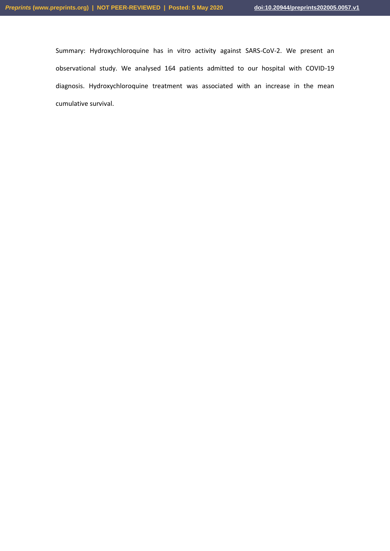Summary: Hydroxychloroquine has in vitro activity against SARS-CoV-2. We present an observational study. We analysed 164 patients admitted to our hospital with COVID-19 diagnosis. Hydroxychloroquine treatment was associated with an increase in the mean cumulative survival.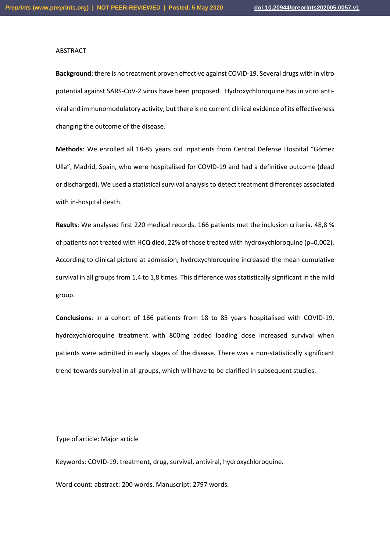#### ABSTRACT

**Background**: there is no treatment proven effective against COVID-19. Several drugs with in vitro potential against SARS-CoV-2 virus have been proposed. Hydroxychloroquine has in vitro antiviral and immunomodulatory activity, but there is no current clinical evidence of its effectiveness changing the outcome of the disease.

**Methods**: We enrolled all 18-85 years old inpatients from Central Defense Hospital "Gómez Ulla", Madrid, Spain, who were hospitalised for COVID-19 and had a definitive outcome (dead or discharged). We used a statistical survival analysis to detect treatment differences associated with in-hospital death.

**Results**: We analysed first 220 medical records. 166 patients met the inclusion criteria. 48,8 % of patients not treated with HCQ died, 22% of those treated with hydroxychloroquine (p=0,002). According to clinical picture at admission, hydroxychloroquine increased the mean cumulative survival in all groups from 1,4 to 1,8 times. This difference was statistically significant in the mild group.

**Conclusions**: in a cohort of 166 patients from 18 to 85 years hospitalised with COVID-19, hydroxychloroquine treatment with 800mg added loading dose increased survival when patients were admitted in early stages of the disease. There was a non-statistically significant trend towards survival in all groups, which will have to be clarified in subsequent studies.

Type of article: Major article

Keywords: COVID-19, treatment, drug, survival, antiviral, hydroxychloroquine.

Word count: abstract: 200 words. Manuscript: 2797 words.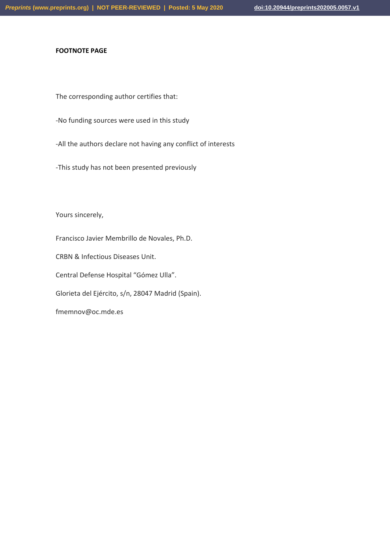### **FOOTNOTE PAGE**

The corresponding author certifies that:

- -No funding sources were used in this study
- -All the authors declare not having any conflict of interests
- -This study has not been presented previously

Yours sincerely,

Francisco Javier Membrillo de Novales, Ph.D.

CRBN & Infectious Diseases Unit.

Central Defense Hospital "Gómez Ulla".

Glorieta del Ejército, s/n, 28047 Madrid (Spain).

fmemnov@oc.mde.es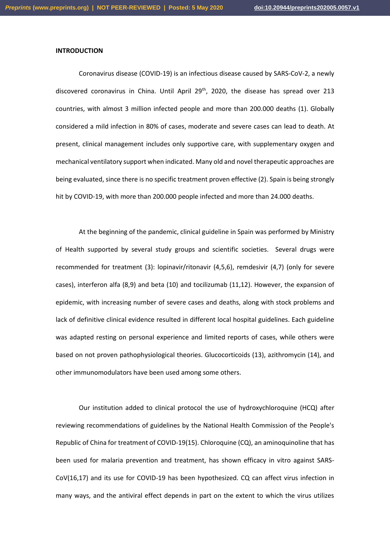#### **INTRODUCTION**

Coronavirus disease (COVID-19) is an infectious disease caused by SARS-CoV-2, a newly discovered coronavirus in China. Until April  $29<sup>th</sup>$ , 2020, the disease has spread over 213 countries, with almost 3 million infected people and more than 200.000 deaths (1). Globally considered a mild infection in 80% of cases, moderate and severe cases can lead to death. At present, clinical management includes only supportive care, with supplementary oxygen and mechanical ventilatory support when indicated. Many old and novel therapeutic approaches are being evaluated, since there is no specific treatment proven effective (2). Spain is being strongly hit by COVID-19, with more than 200.000 people infected and more than 24.000 deaths.

At the beginning of the pandemic, clinical guideline in Spain was performed by Ministry of Health supported by several study groups and scientific societies. Several drugs were recommended for treatment (3): lopinavir/ritonavir (4,5,6), remdesivir (4,7) (only for severe cases), interferon alfa (8,9) and beta (10) and tocilizumab (11,12). However, the expansion of epidemic, with increasing number of severe cases and deaths, along with stock problems and lack of definitive clinical evidence resulted in different local hospital guidelines. Each guideline was adapted resting on personal experience and limited reports of cases, while others were based on not proven pathophysiological theories. Glucocorticoids (13), azithromycin (14), and other immunomodulators have been used among some others.

Our institution added to clinical protocol the use of hydroxychloroquine (HCQ) after reviewing recommendations of guidelines by the National Health Commission of the People's Republic of China for treatment of COVID-19(15). Chloroquine (CQ), an aminoquinoline that has been used for malaria prevention and treatment, has shown efficacy in vitro against SARS-CoV(16,17) and its use for COVID-19 has been hypothesized. CQ can affect virus infection in many ways, and the antiviral effect depends in part on the extent to which the virus utilizes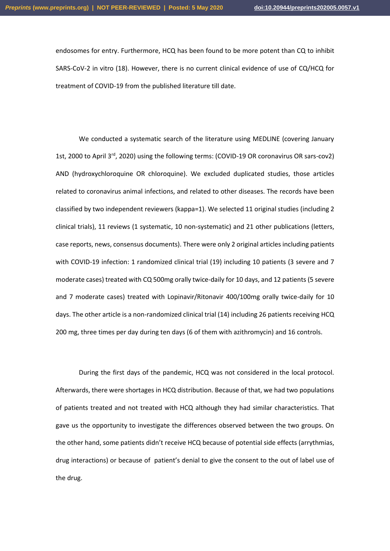endosomes for entry. Furthermore, HCQ has been found to be more potent than CQ to inhibit SARS-CoV-2 in vitro (18). However, there is no current clinical evidence of use of CQ/HCQ for treatment of COVID-19 from the published literature till date.

We conducted a systematic search of the literature using MEDLINE (covering January 1st, 2000 to April 3rd, 2020) using the following terms: (COVID-19 OR coronavirus OR sars-cov2) AND (hydroxychloroquine OR chloroquine). We excluded duplicated studies, those articles related to coronavirus animal infections, and related to other diseases. The records have been classified by two independent reviewers (kappa=1). We selected 11 original studies (including 2 clinical trials), 11 reviews (1 systematic, 10 non-systematic) and 21 other publications (letters, case reports, news, consensus documents). There were only 2 original articles including patients with COVID-19 infection: 1 randomized clinical trial (19) including 10 patients (3 severe and 7 moderate cases) treated with CQ 500mg orally twice-daily for 10 days, and 12 patients (5 severe and 7 moderate cases) treated with Lopinavir/Ritonavir 400/100mg orally twice-daily for 10 days. The other article is a non-randomized clinical trial (14) including 26 patients receiving HCQ 200 mg, three times per day during ten days (6 of them with azithromycin) and 16 controls.

During the first days of the pandemic, HCQ was not considered in the local protocol. Afterwards, there were shortages in HCQ distribution. Because of that, we had two populations of patients treated and not treated with HCQ although they had similar characteristics. That gave us the opportunity to investigate the differences observed between the two groups. On the other hand, some patients didn't receive HCQ because of potential side effects (arrythmias, drug interactions) or because of patient's denial to give the consent to the out of label use of the drug.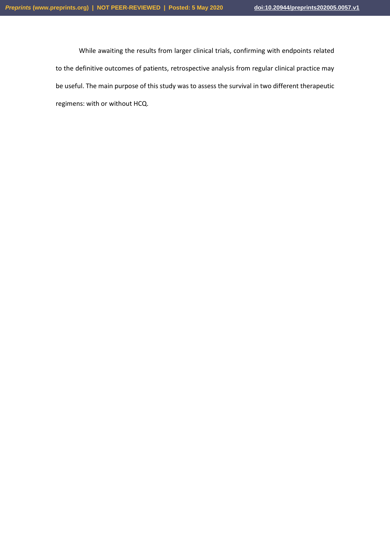While awaiting the results from larger clinical trials, confirming with endpoints related to the definitive outcomes of patients, retrospective analysis from regular clinical practice may be useful. The main purpose of this study was to assess the survival in two different therapeutic regimens: with or without HCQ.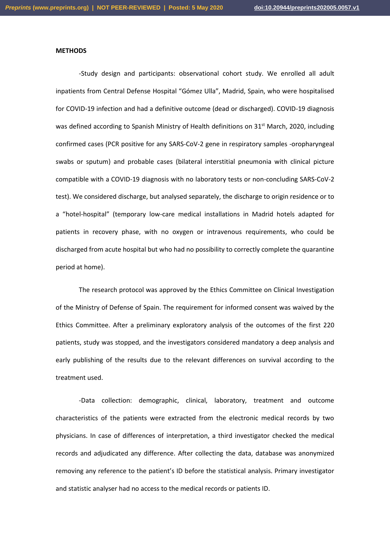#### **METHODS**

-Study design and participants: observational cohort study. We enrolled all adult inpatients from Central Defense Hospital "Gómez Ulla", Madrid, Spain, who were hospitalised for COVID-19 infection and had a definitive outcome (dead or discharged). COVID-19 diagnosis was defined according to Spanish Ministry of Health definitions on 31<sup>st</sup> March, 2020, including confirmed cases (PCR positive for any SARS-CoV-2 gene in respiratory samples -oropharyngeal swabs or sputum) and probable cases (bilateral interstitial pneumonia with clinical picture compatible with a COVID-19 diagnosis with no laboratory tests or non-concluding SARS-CoV-2 test). We considered discharge, but analysed separately, the discharge to origin residence or to a "hotel-hospital" (temporary low-care medical installations in Madrid hotels adapted for patients in recovery phase, with no oxygen or intravenous requirements, who could be discharged from acute hospital but who had no possibility to correctly complete the quarantine period at home).

The research protocol was approved by the Ethics Committee on Clinical Investigation of the Ministry of Defense of Spain. The requirement for informed consent was waived by the Ethics Committee. After a preliminary exploratory analysis of the outcomes of the first 220 patients, study was stopped, and the investigators considered mandatory a deep analysis and early publishing of the results due to the relevant differences on survival according to the treatment used.

-Data collection: demographic, clinical, laboratory, treatment and outcome characteristics of the patients were extracted from the electronic medical records by two physicians. In case of differences of interpretation, a third investigator checked the medical records and adjudicated any difference. After collecting the data, database was anonymized removing any reference to the patient's ID before the statistical analysis. Primary investigator and statistic analyser had no access to the medical records or patients ID.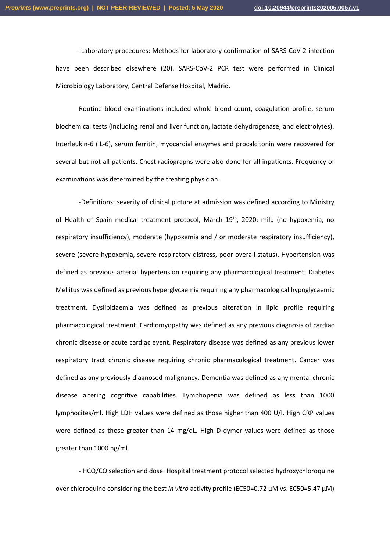-Laboratory procedures: Methods for laboratory confirmation of SARS-CoV-2 infection have been described elsewhere (20). SARS-CoV-2 PCR test were performed in Clinical Microbiology Laboratory, Central Defense Hospital, Madrid.

Routine blood examinations included whole blood count, coagulation profile, serum biochemical tests (including renal and liver function, lactate dehydrogenase, and electrolytes). Interleukin-6 (IL-6), serum ferritin, myocardial enzymes and procalcitonin were recovered for several but not all patients. Chest radiographs were also done for all inpatients. Frequency of examinations was determined by the treating physician.

-Definitions: severity of clinical picture at admission was defined according to Ministry of Health of Spain medical treatment protocol, March 19<sup>th</sup>, 2020: mild (no hypoxemia, no respiratory insufficiency), moderate (hypoxemia and / or moderate respiratory insufficiency), severe (severe hypoxemia, severe respiratory distress, poor overall status). Hypertension was defined as previous arterial hypertension requiring any pharmacological treatment. Diabetes Mellitus was defined as previous hyperglycaemia requiring any pharmacological hypoglycaemic treatment. Dyslipidaemia was defined as previous alteration in lipid profile requiring pharmacological treatment. Cardiomyopathy was defined as any previous diagnosis of cardiac chronic disease or acute cardiac event. Respiratory disease was defined as any previous lower respiratory tract chronic disease requiring chronic pharmacological treatment. Cancer was defined as any previously diagnosed malignancy. Dementia was defined as any mental chronic disease altering cognitive capabilities. Lymphopenia was defined as less than 1000 lymphocites/ml. High LDH values were defined as those higher than 400 U/l. High CRP values were defined as those greater than 14 mg/dL. High D-dymer values were defined as those greater than 1000 ng/ml.

- HCQ/CQ selection and dose: Hospital treatment protocol selected hydroxychloroquine over chloroquine considering the best *in vitro* activity profile (EC50=0.72 μM vs. EC50=5.47 μM)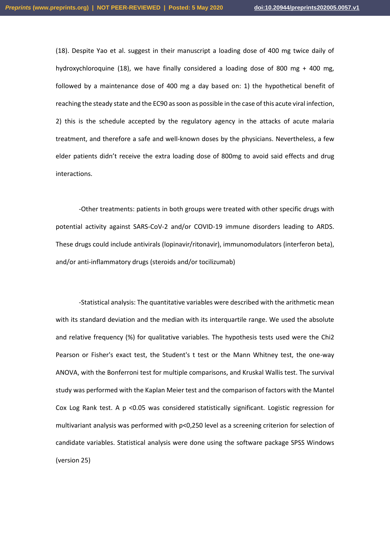(18). Despite Yao et al. suggest in their manuscript a loading dose of 400 mg twice daily of hydroxychloroquine (18), we have finally considered a loading dose of 800 mg + 400 mg, followed by a maintenance dose of 400 mg a day based on: 1) the hypothetical benefit of reaching the steady state and the EC90 as soon as possible in the case of this acute viral infection, 2) this is the schedule accepted by the regulatory agency in the attacks of acute malaria treatment, and therefore a safe and well-known doses by the physicians. Nevertheless, a few elder patients didn't receive the extra loading dose of 800mg to avoid said effects and drug interactions.

-Other treatments: patients in both groups were treated with other specific drugs with potential activity against SARS-CoV-2 and/or COVID-19 immune disorders leading to ARDS. These drugs could include antivirals (lopinavir/ritonavir), immunomodulators (interferon beta), and/or anti-inflammatory drugs (steroids and/or tocilizumab)

-Statistical analysis: The quantitative variables were described with the arithmetic mean with its standard deviation and the median with its interquartile range. We used the absolute and relative frequency (%) for qualitative variables. The hypothesis tests used were the Chi2 Pearson or Fisher's exact test, the Student's t test or the Mann Whitney test, the one-way ANOVA, with the Bonferroni test for multiple comparisons, and Kruskal Wallis test. The survival study was performed with the Kaplan Meier test and the comparison of factors with the Mantel Cox Log Rank test. A p <0.05 was considered statistically significant. Logistic regression for multivariant analysis was performed with p<0,250 level as a screening criterion for selection of candidate variables. Statistical analysis were done using the software package SPSS Windows (version 25)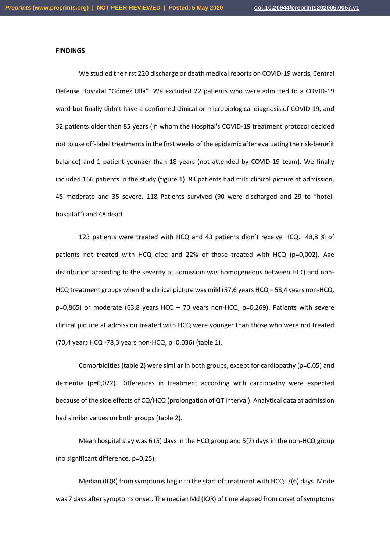#### **FINDINGS**

We studied the first 220 discharge or death medical reports on COVID-19 wards, Central Defense Hospital "Gómez Ulla". We excluded 22 patients who were admitted to a COVID-19 ward but finally didn't have a confirmed clinical or microbiological diagnosis of COVID-19, and 32 patients older than 85 years (in whom the Hospital's COVID-19 treatment protocol decided not to use off-label treatments in the first weeks of the epidemic after evaluating the risk-benefit balance) and 1 patient younger than 18 years (not attended by COVID-19 team). We finally included 166 patients in the study (figure 1). 83 patients had mild clinical picture at admission, 48 moderate and 35 severe. 118 Patients survived (90 were discharged and 29 to "hotelhospital") and 48 dead.

123 patients were treated with HCQ and 43 patients didn't receive HCQ. 48,8 % of patients not treated with HCQ died and 22% of those treated with HCQ (p=0,002). Age distribution according to the severity at admission was homogeneous between HCQ and non-HCQ treatment groups when the clinical picture was mild (57,6 years HCQ – 58,4 years non-HCQ, p=0,865) or moderate (63,8 years HCQ – 70 years non-HCQ, p=0,269). Patients with severe clinical picture at admission treated with HCQ were younger than those who were not treated (70,4 years HCQ -78,3 years non-HCQ, p=0,036) (table 1).

Comorbidities (table 2) were similar in both groups, except for cardiopathy (p=0,05) and dementia (p=0,022). Differences in treatment according with cardiopathy were expected because of the side effects of CQ/HCQ (prolongation of QT interval). Analytical data at admission had similar values on both groups (table 2).

Mean hospital stay was 6 (5) days in the HCQ group and 5(7) days in the non-HCQ group (no significant difference, p=0,25).

Median (IQR) from symptoms begin to the start of treatment with HCQ: 7(6) days. Mode was 7 days after symptoms onset. The median Md (IQR) of time elapsed from onset of symptoms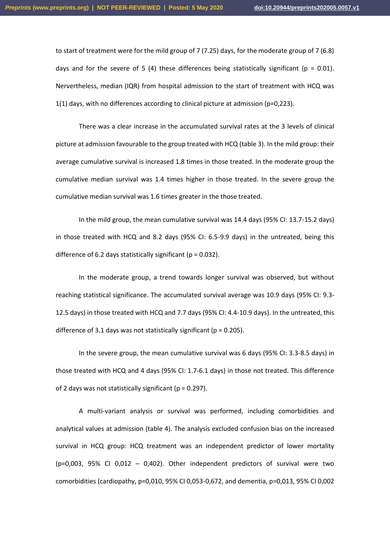to start of treatment were for the mild group of 7 (7.25) days, for the moderate group of 7 (6.8) days and for the severe of 5 (4) these differences being statistically significant ( $p = 0.01$ ). Nervertheless, median (IQR) from hospital admission to the start of treatment with HCQ was 1(1) days, with no differences according to clinical picture at admission (p=0,223).

There was a clear increase in the accumulated survival rates at the 3 levels of clinical picture at admission favourable to the group treated with HCQ (table 3). In the mild group: their average cumulative survival is increased 1.8 times in those treated. In the moderate group the cumulative median survival was 1.4 times higher in those treated. In the severe group the cumulative median survival was 1.6 times greater in the those treated.

In the mild group, the mean cumulative survival was 14.4 days (95% CI: 13.7-15.2 days) in those treated with HCQ and 8.2 days (95% CI: 6.5-9.9 days) in the untreated, being this difference of 6.2 days statistically significant ( $p = 0.032$ ).

In the moderate group, a trend towards longer survival was observed, but without reaching statistical significance. The accumulated survival average was 10.9 days (95% CI: 9.3- 12.5 days) in those treated with HCQ and 7.7 days (95% CI: 4.4-10.9 days). In the untreated, this difference of 3.1 days was not statistically significant ( $p = 0.205$ ).

In the severe group, the mean cumulative survival was 6 days (95% CI: 3.3-8.5 days) in those treated with HCQ and 4 days (95% CI: 1.7-6.1 days) in those not treated. This difference of 2 days was not statistically significant ( $p = 0.297$ ).

A multi-variant analysis or survival was performed, including comorbidities and analytical values at admission (table 4). The analysis excluded confusion bias on the increased survival in HCQ group: HCQ treatment was an independent predictor of lower mortality  $(p=0.003, 95% C1 0.012 - 0.402)$ . Other independent predictors of survival were two comorbidities (cardiopathy, p=0,010, 95% CI 0,053-0,672, and dementia, p=0,013, 95% CI 0,002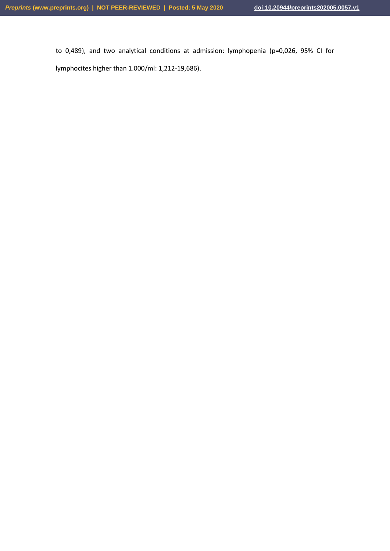to 0,489), and two analytical conditions at admission: lymphopenia (p=0,026, 95% CI for lymphocites higher than 1.000/ml: 1,212-19,686).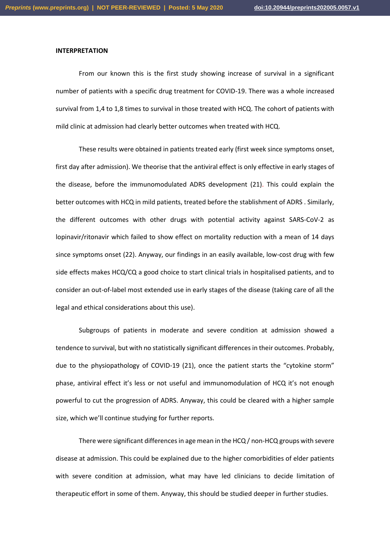#### **INTERPRETATION**

From our known this is the first study showing increase of survival in a significant number of patients with a specific drug treatment for COVID-19. There was a whole increased survival from 1,4 to 1,8 times to survival in those treated with HCQ. The cohort of patients with mild clinic at admission had clearly better outcomes when treated with HCQ.

These results were obtained in patients treated early (first week since symptoms onset, first day after admission). We theorise that the antiviral effect is only effective in early stages of the disease, before the immunomodulated ADRS development (21). This could explain the better outcomes with HCQ in mild patients, treated before the stablishment of ADRS . Similarly, the different outcomes with other drugs with potential activity against SARS-CoV-2 as lopinavir/ritonavir which failed to show effect on mortality reduction with a mean of 14 days since symptoms onset (22). Anyway, our findings in an easily available, low-cost drug with few side effects makes HCQ/CQ a good choice to start clinical trials in hospitalised patients, and to consider an out-of-label most extended use in early stages of the disease (taking care of all the legal and ethical considerations about this use).

Subgroups of patients in moderate and severe condition at admission showed a tendence to survival, but with no statistically significant differences in their outcomes. Probably, due to the physiopathology of COVID-19 (21), once the patient starts the "cytokine storm" phase, antiviral effect it's less or not useful and immunomodulation of HCQ it's not enough powerful to cut the progression of ADRS. Anyway, this could be cleared with a higher sample size, which we'll continue studying for further reports.

There were significant differences in age mean in the HCQ / non-HCQ groups with severe disease at admission. This could be explained due to the higher comorbidities of elder patients with severe condition at admission, what may have led clinicians to decide limitation of therapeutic effort in some of them. Anyway, this should be studied deeper in further studies.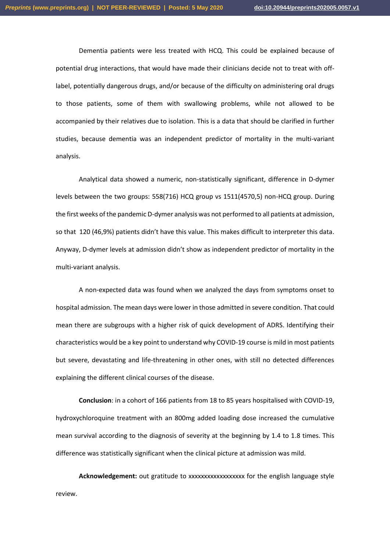Dementia patients were less treated with HCQ. This could be explained because of potential drug interactions, that would have made their clinicians decide not to treat with offlabel, potentially dangerous drugs, and/or because of the difficulty on administering oral drugs to those patients, some of them with swallowing problems, while not allowed to be accompanied by their relatives due to isolation. This is a data that should be clarified in further studies, because dementia was an independent predictor of mortality in the multi-variant analysis.

Analytical data showed a numeric, non-statistically significant, difference in D-dymer levels between the two groups: 558(716) HCQ group vs 1511(4570,5) non-HCQ group. During the first weeks of the pandemic D-dymer analysis was not performed to all patients at admission, so that 120 (46,9%) patients didn't have this value. This makes difficult to interpreter this data. Anyway, D-dymer levels at admission didn't show as independent predictor of mortality in the multi-variant analysis.

A non-expected data was found when we analyzed the days from symptoms onset to hospital admission. The mean days were lower in those admitted in severe condition. That could mean there are subgroups with a higher risk of quick development of ADRS. Identifying their characteristics would be a key point to understand why COVID-19 course is mild in most patients but severe, devastating and life-threatening in other ones, with still no detected differences explaining the different clinical courses of the disease.

**Conclusion**: in a cohort of 166 patients from 18 to 85 years hospitalised with COVID-19, hydroxychloroquine treatment with an 800mg added loading dose increased the cumulative mean survival according to the diagnosis of severity at the beginning by 1.4 to 1.8 times. This difference was statistically significant when the clinical picture at admission was mild.

**Acknowledgement:** out gratitude to xxxxxxxxxxxxxxxxxx for the english language style review.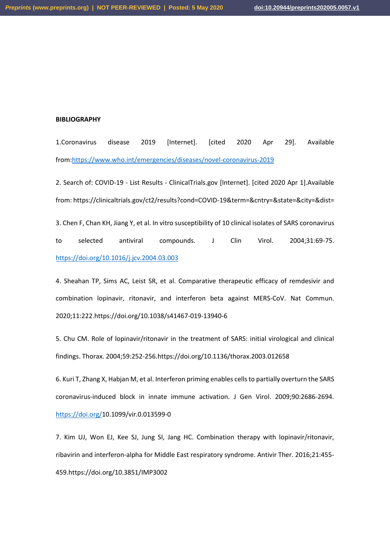#### **BIBLIOGRAPHY**

1.Coronavirus disease 2019 [Internet]. [cited 2020 Apr 29]. Available from[:https://www.who.int/emergencies/diseases/novel-coronavirus-2019](https://www.who.int/emergencies/diseases/novel-coronavirus-2019)

2. Search of: COVID-19 - List Results - ClinicalTrials.gov [Internet]. [cited 2020 Apr 1].Available from: https://clinicaltrials.gov/ct2/results?cond=COVID-19&term=&cntry=&state=&city=&dist= 3. Chen F, Chan KH, Jiang Y, et al. In vitro susceptibility of 10 clinical isolates of SARS coronavirus to selected antiviral compounds. J Clin Virol. 2004;31:69-75.

<https://doi.org/10.1016/j.jcv.2004.03.003>

4. Sheahan TP, Sims AC, Leist SR, et al. Comparative therapeutic efficacy of remdesivir and combination lopinavir, ritonavir, and interferon beta against MERS‐CoV. Nat Commun. 2020;11:222.https://doi.org/10.1038/s41467‐019‐13940‐6

5. Chu CM. Role of lopinavir/ritonavir in the treatment of SARS: initial virological and clinical findings. Thorax. 2004;59:252‐256.https://doi.org/10.1136/thorax.2003.012658

6. Kuri T, Zhang X, Habjan M, et al. Interferon priming enables cells to partially overturn the SARS coronavirus‐induced block in innate immune activation. J Gen Virol. 2009;90:2686‐2694. <https://doi.org/>10.1099/vir.0.013599‐0

7. Kim UJ, Won EJ, Kee SJ, Jung SI, Jang HC. Combination therapy with lopinavir/ritonavir, ribavirin and interferon‐alpha for Middle East respiratory syndrome. Antivir Ther. 2016;21:455‐ 459.https://doi.org/10.3851/IMP3002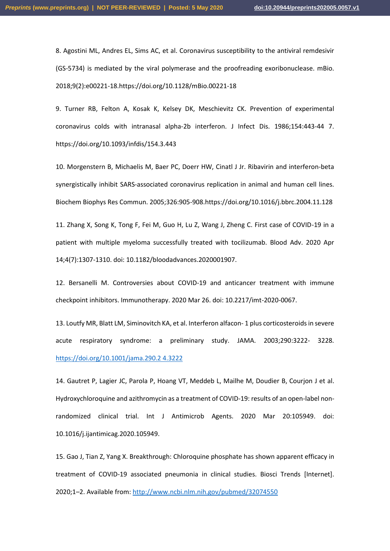8. Agostini ML, Andres EL, Sims AC, et al. Coronavirus susceptibility to the antiviral remdesivir (GS‐5734) is mediated by the viral polymerase and the proofreading exoribonuclease. mBio. 2018;9(2):e00221‐18.https://doi.org/10.1128/mBio.00221‐18

9. Turner RB, Felton A, Kosak K, Kelsey DK, Meschievitz CK. Prevention of experimental coronavirus colds with intranasal alpha‐2b interferon. J Infect Dis. 1986;154:443‐44 7. https://doi.org/10.1093/infdis/154.3.443

10. Morgenstern B, Michaelis M, Baer PC, Doerr HW, Cinatl J Jr. Ribavirin and interferon‐beta synergistically inhibit SARS‐associated coronavirus replication in animal and human cell lines. Biochem Biophys Res Commun. 2005;326:905‐908.https://doi.org/10.1016/j.bbrc.2004.11.128

11. Zhang X, Song K, Tong F, Fei M, Guo H, Lu Z, Wang J, Zheng C. First case of COVID-19 in a patient with multiple myeloma successfully treated with tocilizumab. Blood Adv. 2020 Apr 14;4(7):1307-1310. doi: 10.1182/bloodadvances.2020001907.

12. Bersanelli M. Controversies about COVID-19 and anticancer treatment with immune checkpoint inhibitors. Immunotherapy. 2020 Mar 26. doi: 10.2217/imt-2020-0067.

13. Loutfy MR, Blatt LM, Siminovitch KA, et al. Interferon alfacon‐ 1 plus corticosteroids in severe acute respiratory syndrome: a preliminary study. JAMA. 2003;290:3222‐ 3228. [https://doi.org/10.1001/jama.290.2 4.3222](https://doi.org/10.1001/jama.290.2%204.3222)

14. Gautret P, Lagier JC, Parola P, Hoang VT, Meddeb L, Mailhe M, Doudier B, Courjon J et al. Hydroxychloroquine and azithromycin as a treatment of COVID-19: results of an open-label nonrandomized clinical trial. Int J Antimicrob Agents. 2020 Mar 20:105949. doi: 10.1016/j.ijantimicag.2020.105949.

15. Gao J, Tian Z, Yang X. Breakthrough: Chloroquine phosphate has shown apparent efficacy in treatment of COVID-19 associated pneumonia in clinical studies. Biosci Trends [Internet]. 2020;1–2. Available from[: http://www.ncbi.nlm.nih.gov/pubmed/32074550](http://www.ncbi.nlm.nih.gov/pubmed/32074550)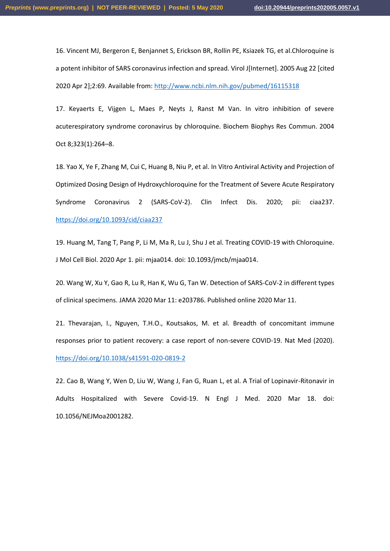16. Vincent MJ, Bergeron E, Benjannet S, Erickson BR, Rollin PE, Ksiazek TG, et al.Chloroquine is a potent inhibitor of SARS coronavirus infection and spread. Virol J[Internet]. 2005 Aug 22 [cited 2020 Apr 2];2:69. Available from[: http://www.ncbi.nlm.nih.gov/pubmed/16115318](http://www.ncbi.nlm.nih.gov/pubmed/16115318)

17. Keyaerts E, Vijgen L, Maes P, Neyts J, Ranst M Van. In vitro inhibition of severe acuterespiratory syndrome coronavirus by chloroquine. Biochem Biophys Res Commun. 2004 Oct 8;323(1):264–8.

18. Yao X, Ye F, Zhang M, Cui C, Huang B, Niu P, et al. In Vitro Antiviral Activity and Projection of Optimized Dosing Design of Hydroxychloroquine for the Treatment of Severe Acute Respiratory Syndrome Coronavirus 2 (SARS-CoV-2). Clin Infect Dis. 2020; pii: ciaa237. <https://doi.org/10.1093/cid/ciaa237>

19. Huang M, Tang T, Pang P, Li M, Ma R, Lu J, Shu J et al. Treating COVID-19 with Chloroquine. J Mol Cell Biol. 2020 Apr 1. pii: mjaa014. doi: 10.1093/jmcb/mjaa014.

20. Wang W, Xu Y, Gao R, Lu R, Han K, Wu G, Tan W. Detection of SARS-CoV-2 in different types of clinical specimens. JAMA 2020 Mar 11: e203786. Published online 2020 Mar 11.

21. Thevarajan, I., Nguyen, T.H.O., Koutsakos, M. et al. Breadth of concomitant immune responses prior to patient recovery: a case report of non-severe COVID-19. Nat Med (2020). <https://doi.org/10.1038/s41591-020-0819-2>

22. Cao B, Wang Y, Wen D, Liu W, Wang J, Fan G, Ruan L, et al. A Trial of Lopinavir-Ritonavir in Adults Hospitalized with Severe Covid-19. N Engl J Med. 2020 Mar 18. doi: 10.1056/NEJMoa2001282.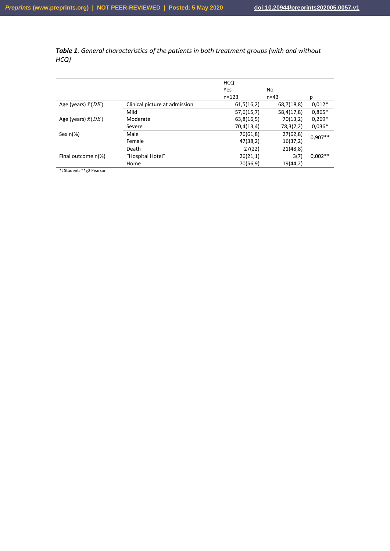*Table 1. General characteristics of the patients in both treatment groups (with and without HCQ)*

|                           |                               | <b>HCQ</b> |            |           |  |
|---------------------------|-------------------------------|------------|------------|-----------|--|
|                           |                               | Yes        | No         |           |  |
|                           |                               | $n = 123$  | $n = 43$   | р         |  |
| Age (years) $\bar{x}(DE)$ | Clinical picture at admission | 61,5(16,2) | 68,7(18,8) | $0,012*$  |  |
|                           | Mild                          | 57,6(15,7) | 58,4(17,8) | $0,865*$  |  |
| Age (years) $\bar{x}(DE)$ | Moderate                      | 63,8(16,5) | 70(13,2)   | $0.269*$  |  |
|                           | Severe                        | 70,4(13,4) | 78,3(7,2)  | $0,036*$  |  |
| Sex $n(\%)$               | Male                          | 76(61,8)   | 27(62,8)   |           |  |
|                           | Female                        | 47(38,2)   | 16(37,2)   | $0.907**$ |  |
|                           | Death                         | 27(22)     | 21(48,8)   |           |  |
| Final outcome n(%)        | "Hospital Hotel"              | 26(21,1)   | 3(7)       | $0.002**$ |  |
|                           | Home                          | 70(56,9)   | 19(44,2)   |           |  |

\*t Student; \*\*2 Pearson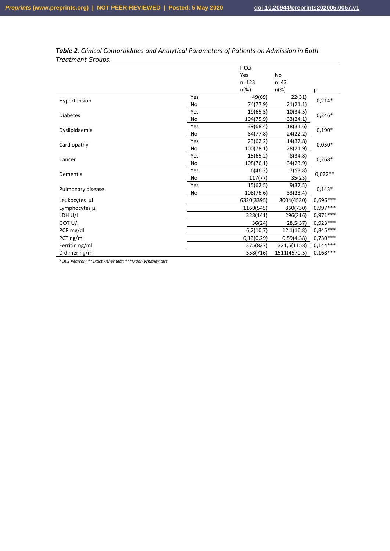|                   |     | <b>HCQ</b> |              |            |  |
|-------------------|-----|------------|--------------|------------|--|
|                   |     | Yes        | No           |            |  |
|                   |     | $n = 123$  | $n=43$       |            |  |
|                   |     | $n(\%)$    | $n(\%)$      | р          |  |
| Hypertension      | Yes | 49(69)     | 22(31)       | $0,214*$   |  |
|                   | No  | 74(77,9)   | 21(21,1)     |            |  |
| <b>Diabetes</b>   | Yes | 19(65,5)   | 10(34,5)     | $0,246*$   |  |
|                   | No  | 104(75,9)  | 33(24,1)     |            |  |
|                   | Yes | 39(68,4)   | 18(31,6)     | $0,190*$   |  |
| Dyslipidaemia     | No  | 84(77,8)   | 24(22,2)     |            |  |
|                   | Yes | 23(62,2)   | 14(37,8)     |            |  |
| Cardiopathy       | No  | 100(78,1)  | 28(21,9)     | $0,050*$   |  |
| Cancer            | Yes | 15(65,2)   | 8(34,8)      | $0,268*$   |  |
|                   | No  | 108(76,1)  | 34(23,9)     |            |  |
| Dementia          | Yes | 6(46,2)    | 7(53,8)      | $0,022**$  |  |
|                   | No  | 117(77)    | 35(23)       |            |  |
| Pulmonary disease | Yes | 15(62,5)   | 9(37,5)      | $0,143*$   |  |
|                   | No  | 108(76,6)  | 33(23,4)     |            |  |
| Leukocytes µl     |     | 6320(3395) | 8004(4530)   | 0,696***   |  |
| Lymphocytes µl    |     | 1160(545)  | 860(730)     | 0,997***   |  |
| LDH U/I           |     | 328(141)   | 296(216)     | 0,971 ***  |  |
| GOT U/I           |     | 36(24)     | 28,5(37)     | 0,923 ***  |  |
| PCR mg/dl         |     | 6,2(10,7)  | 12,1(16,8)   | 0,845 ***  |  |
| PCT ng/ml         |     | 0,13(0,29) | 0,59(4,38)   | $0,730***$ |  |
| Ferritin ng/ml    |     | 375(827)   | 321,5(1158)  | $0,144***$ |  |
| D dimer ng/ml     |     | 558(716)   | 1511(4570,5) | $0,168***$ |  |

# *Table 2. Clinical Comorbidities and Analytical Parameters of Patients on Admission in Both Treatment Groups.*

*\*Chi2 Pearson; \*\*Exact Fisher test; \*\*\*Mann Whitney test*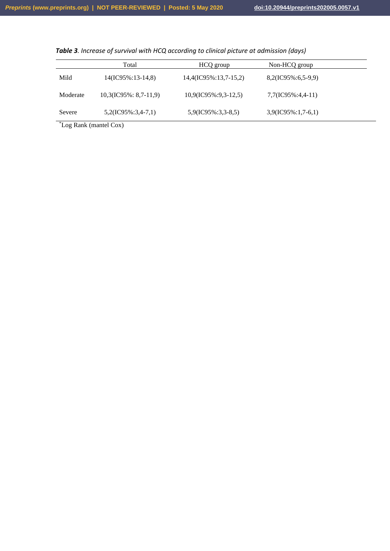|                                                 | Total                         | HCQ group               | Non-HCQ group         |  |
|-------------------------------------------------|-------------------------------|-------------------------|-----------------------|--|
| Mild                                            | 14(IC95%:13-14,8)             | 14,4(IC95%:13,7-15,2)   | $8,2(IC95\%:6,5-9,9)$ |  |
| Moderate                                        | $10,3($ IC $95\%$ : 8,7-11,9) | $10,9$ (IC95%:9,3-12,5) | 7,7(IC95%:4,4-11)     |  |
| Severe                                          | $5,2(IC95\%:3,4-7,1)$         | $5,9$ (IC95%:3,3-8,5)   | $3,9(IC95\%:1,7-6,1)$ |  |
| $\sqrt[8]{\ }$ ca Donk (montal $C_{\alpha v}$ ) |                               |                         |                       |  |

*Table 3. Increase of survival with HCQ according to clinical picture at admission (days)*

\*Log Rank (mantel Cox)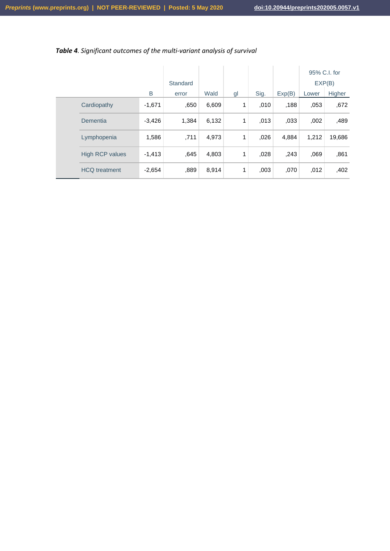|  |                        |          |          |       |    |      |        | 95% C.I. for |        |
|--|------------------------|----------|----------|-------|----|------|--------|--------------|--------|
|  |                        |          | Standard |       |    |      |        | EXP(B)       |        |
|  |                        | B        | error    | Wald  | gl | Sig. | Exp(B) | Lower        | Higher |
|  | Cardiopathy            | $-1,671$ | ,650     | 6,609 | 1  | .010 | .188   | .053         | ,672   |
|  | Dementia               | $-3,426$ | 1,384    | 6,132 | 1  | .013 | ,033   | ,002         | ,489   |
|  | Lymphopenia            | 1,586    | .711     | 4,973 | 1  | ,026 | 4,884  | 1,212        | 19,686 |
|  | <b>High RCP values</b> | $-1,413$ | .645     | 4,803 | 1  | 028  | ,243   | .069         | ,861   |
|  | <b>HCQ</b> treatment   | $-2,654$ | ,889     | 8,914 | 1  | 003  | ,070   | ,012         | ,402   |

# *Table 4. Significant outcomes of the multi-variant analysis of survival*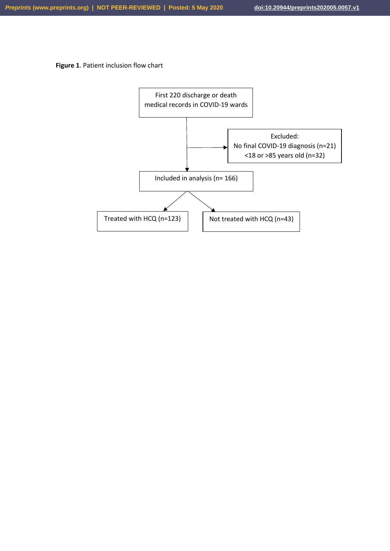**Figure 1**. Patient inclusion flow chart

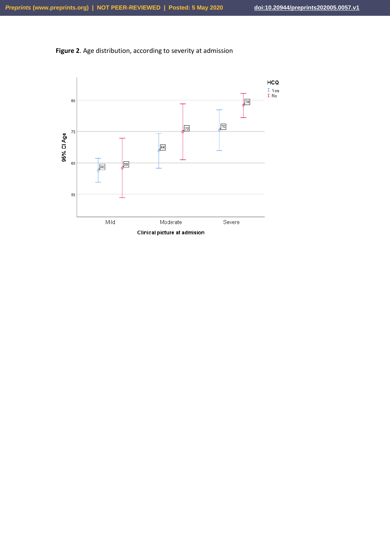

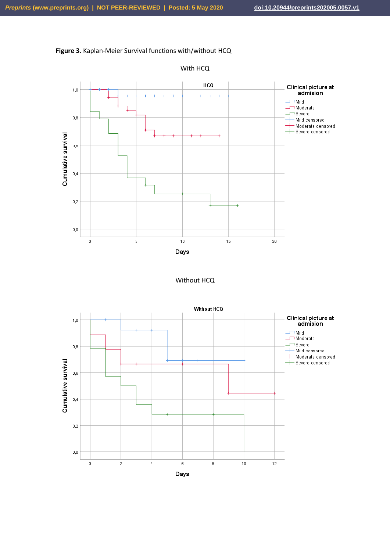





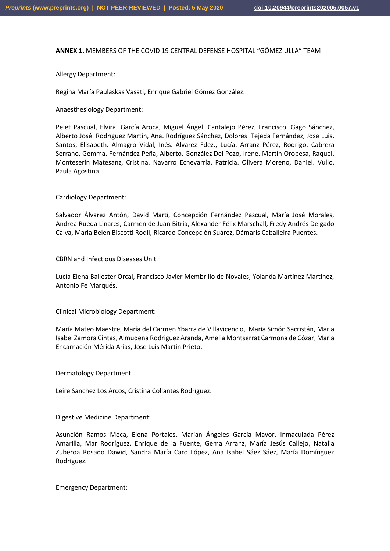### **ANNEX 1.** MEMBERS OF THE COVID 19 CENTRAL DEFENSE HOSPITAL "GÓMEZ ULLA" TEAM

### Allergy Department:

Regina María Paulaskas Vasati, Enrique Gabriel Gómez González.

### Anaesthesiology Department:

Pelet Pascual, Elvira. García Aroca, Miguel Ángel. Cantalejo Pérez, Francisco. Gago Sánchez, Alberto José. Rodríguez Martín, Ana. Rodríguez Sánchez, Dolores. Tejeda Fernández, Jose Luis. Santos, Elisabeth. Almagro Vidal, Inés. Álvarez Fdez., Lucía. Arranz Pérez, Rodrigo. Cabrera Serrano, Gemma. Fernández Peña, Alberto. González Del Pozo, Irene. Martín Oropesa, Raquel. Monteserín Matesanz, Cristina. Navarro Echevarría, Patricia. Olivera Moreno, Daniel. Vullo, Paula Agostina.

Cardiology Department:

Salvador Álvarez Antón, David Martí, Concepción Fernández Pascual, María José Morales, Andrea Rueda Linares, Carmen de Juan Bitria, Alexander Félix Marschall, Fredy Andrés Delgado Calva, Maria Belen Biscotti Rodil, Ricardo Concepción Suárez, Dámaris Caballeira Puentes.

CBRN and Infectious Diseases Unit

Lucía Elena Ballester Orcal, Francisco Javier Membrillo de Novales, Yolanda Martínez Martínez, Antonio Fe Marqués.

Clinical Microbiology Department:

María Mateo Maestre, María del Carmen Ybarra de Villavicencio, María Simón Sacristán, Maria Isabel Zamora Cintas, Almudena Rodriguez Aranda, Amelia Montserrat Carmona de Cózar, Maria Encarnación Mérida Arias, Jose Luis Martin Prieto.

Dermatology Department

Leire Sanchez Los Arcos, Cristina Collantes Rodríguez.

Digestive Medicine Department:

Asunción Ramos Meca, Elena Portales, Marian Ángeles García Mayor, Inmaculada Pérez Amarilla, Mar Rodríguez, Enrique de la Fuente, Gema Arranz, María Jesús Callejo, Natalia Zuberoa Rosado Dawid, Sandra María Caro López, Ana Isabel Sáez Sáez, María Domínguez Rodríguez.

Emergency Department: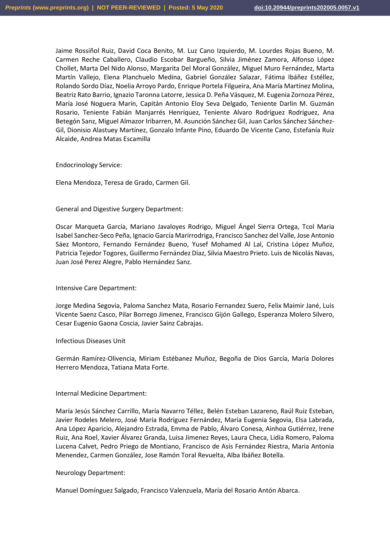Jaime Rossiñol Ruiz, David Coca Benito, M. Luz Cano Izquierdo, M. Lourdes Rojas Bueno, M. Carmen Reche Caballero, Claudio Escobar Bargueño, Silvia Jiménez Zamora, Alfonso López Chollet, Marta Del Nido Alonso, Margarita Del Moral González, Miguel Muro Fernández, Marta Martín Vallejo, Elena Planchuelo Medina, Gabriel González Salazar, Fátima Ibáñez Estéllez, Rolando Sordo Díaz, Noelia Arroyo Pardo, Enrique Portela Filgueira, Ana María Martínez Molina, Beatriz Rato Barrio, Ignazio Taronna Latorre, Jessica D. Peña Vásquez, M. Eugenia Zornoza Pérez, María José Noguera Marín, Capitán Antonio Eloy Seva Delgado, Teniente Darlin M. Guzmán Rosario, Teniente Fabián Manjarrés Henríquez, Teniente Alvaro Rodríguez Rodríguez, Ana Betegón Sanz, Miguel Almazor Iribarren, M. Asunción Sánchez Gil, Juan Carlos Sánchez Sánchez-Gil, Dionisio Alastuey Martínez, Gonzalo Infante Pino, Eduardo De Vicente Cano, Estefanía Ruiz Alcaide, Andrea Matas Escamilla

Endocrinology Service:

Elena Mendoza, Teresa de Grado, Carmen Gil.

#### General and Digestive Surgery Department:

Oscar Marqueta García, Mariano Javaloyes Rodrigo, Miguel Ángel Sierra Ortega, Tcol Maria Isabel Sanchez-Seco Peña, Ignacio García Marirrodriga, Francisco Sanchez del Valle, Jose Antonio Sáez Montoro, Fernando Fernández Bueno, Yusef Mohamed Al Lal, Cristina López Muñoz, Patricia Tejedor Togores, Guillermo Fernández Díaz, Silvia Maestro Prieto. Luis de Nicolás Navas, Juan José Perez Alegre, Pablo Hernández Sanz.

Intensive Care Department:

Jorge Medina Segovia, Paloma Sanchez Mata, Rosario Fernandez Suero, Felix Maimir Jané, Luis Vicente Saenz Casco, Pilar Borrego Jimenez, Francisco Gijón Gallego, Esperanza Molero Silvero, Cesar Eugenio Gaona Coscia, Javier Sainz Cabrajas.

#### Infectious Diseases Unit

Germán Ramírez-Olivencia, Miriam Estébanez Muñoz, Begoña de Dios García, María Dolores Herrero Mendoza, Tatiana Mata Forte.

#### Internal Medicine Department:

María Jesús Sánchez Carrillo, María Navarro Téllez, Belén Esteban Lazareno, Raúl Ruiz Esteban, Javier Rodeles Melero, José María Rodríguez Fernández, María Eugenia Segovia, Elsa Labrada, Ana López Aparicio, Alejandro Estrada, Emma de Pablo, Álvaro Conesa, Ainhoa Gutiérrez, Irene Ruiz, Ana Roel, Xavier Álvarez Granda, Luisa Jimenez Reyes, Laura Checa, Lidia Romero, Paloma Lucena Calvet, Pedro Priego de Montiano, Francisco de Asís Fernández Riestra, Maria Antonia Menendez, Carmen González, Jose Ramón Toral Revuelta, Alba Ibáñez Botella.

# Neurology Department:

Manuel Domínguez Salgado, Francisco Valenzuela, María del Rosario Antón Abarca.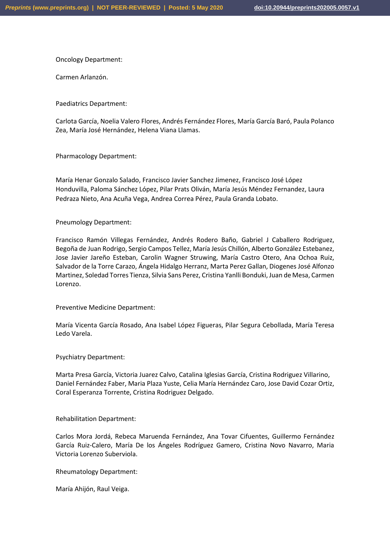Oncology Department:

Carmen Arlanzón.

Paediatrics Department:

Carlota García, Noelia Valero Flores, Andrés Fernández Flores, María García Baró, Paula Polanco Zea, María José Hernández, Helena Viana Llamas.

Pharmacology Department:

María Henar Gonzalo Salado, Francisco Javier Sanchez Jimenez, Francisco José López Honduvilla, Paloma Sánchez López, Pilar Prats Oliván, María Jesús Méndez Fernandez, Laura Pedraza Nieto, Ana Acuña Vega, Andrea Correa Pérez, Paula Granda Lobato.

Pneumology Department:

Francisco Ramón Villegas Fernández, Andrés Rodero Baño, Gabriel J Caballero Rodriguez, Begoña de Juan Rodrigo, Sergio Campos Tellez, María Jesús Chillón, Alberto González Estebanez, Jose Javier Jareño Esteban, Carolin Wagner Struwing, María Castro Otero, Ana Ochoa Ruiz, Salvador de la Torre Carazo, Ángela Hidalgo Herranz, Marta Perez Gallan, Diogenes José Alfonzo Martinez, Soledad Torres Tienza, Silvia Sans Perez, Cristina Yanlli Bonduki, Juan de Mesa, Carmen Lorenzo.

Preventive Medicine Department:

María Vicenta García Rosado, Ana Isabel López Figueras, Pilar Segura Cebollada, María Teresa Ledo Varela.

Psychiatry Department:

Marta Presa García, Victoria Juarez Calvo, Catalina Iglesias García, Cristina Rodriguez Villarino, Daniel Fernández Faber, Maria Plaza Yuste, Celia María Hernández Caro, Jose David Cozar Ortiz, Coral Esperanza Torrente, Cristina Rodriguez Delgado.

Rehabilitation Department:

Carlos Mora Jordá, Rebeca Maruenda Fernández, Ana Tovar Cifuentes, Guillermo Fernández García Ruiz-Calero, María De los Ángeles Rodríguez Gamero, Cristina Novo Navarro, Maria Victoria Lorenzo Suberviola.

Rheumatology Department:

María Ahijón, Raul Veiga.